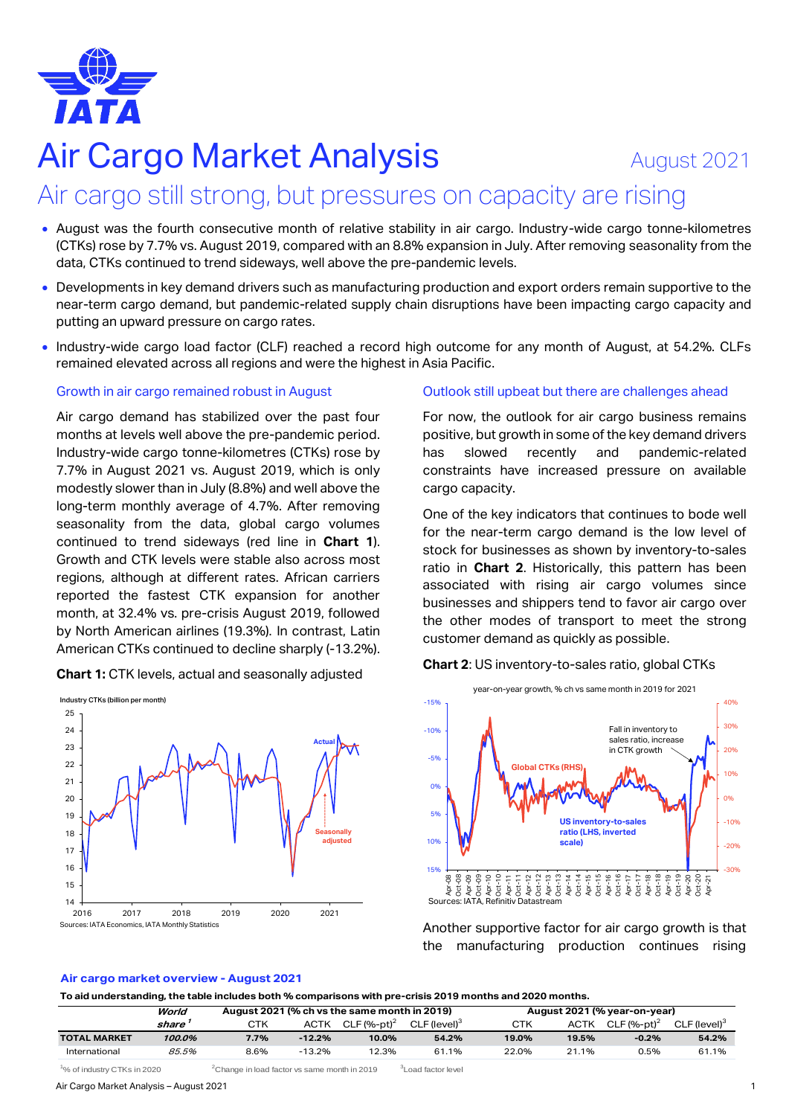

# Air Cargo Market Analysis **August 2021**

## Air cargo still strong, but pressures on capacity are rising

- August was the fourth consecutive month of relative stability in air cargo. Industry-wide cargo tonne-kilometres (CTKs) rose by 7.7% vs. August 2019, compared with an 8.8% expansion in July. After removing seasonality from the data, CTKs continued to trend sideways, well above the pre-pandemic levels.
- Developments in key demand drivers such as manufacturing production and export orders remain supportive to the near-term cargo demand, but pandemic-related supply chain disruptions have been impacting cargo capacity and putting an upward pressure on cargo rates.
- Industry-wide cargo load factor (CLF) reached a record high outcome for any month of August, at 54.2%. CLFs remained elevated across all regions and were the highest in Asia Pacific.

#### Growth in air cargo remained robust in August

Air cargo demand has stabilized over the past four months at levels well above the pre-pandemic period. Industry-wide cargo tonne-kilometres (CTKs) rose by 7.7% in August 2021 vs. August 2019, which is only modestly slower than in July (8.8%) and well above the long-term monthly average of 4.7%. After removing seasonality from the data, global cargo volumes continued to trend sideways (red line in **Chart 1**). Growth and CTK levels were stable also across most regions, although at different rates. African carriers reported the fastest CTK expansion for another month, at 32.4% vs. pre-crisis August 2019, followed by North American airlines (19.3%). In contrast, Latin American CTKs continued to decline sharply (-13.2%).

**Chart 1:** CTK levels, actual and seasonally adjusted



#### Outlook still upbeat but there are challenges ahead

For now, the outlook for air cargo business remains positive, but growth in some of the key demand drivers has slowed recently and pandemic-related constraints have increased pressure on available cargo capacity.

One of the key indicators that continues to bode well for the near-term cargo demand is the low level of stock for businesses as shown by inventory-to-sales ratio in **Chart 2**. Historically, this pattern has been associated with rising air cargo volumes since businesses and shippers tend to favor air cargo over the other modes of transport to meet the strong customer demand as quickly as possible.





Another supportive factor for air cargo growth is that the manufacturing production continues rising

#### **Air cargo market overview - August 2021**

**To aid understanding, the table includes both % comparisons with pre-crisis 2019 months and 2020 months.**

|                     | World  | August 2021 (% ch vs the same month in 2019) |             |                           |                          | August 2021 (% year-on-year) |       |                           |                          |  |
|---------------------|--------|----------------------------------------------|-------------|---------------------------|--------------------------|------------------------------|-------|---------------------------|--------------------------|--|
|                     | share  | CTK                                          | <b>ACTK</b> | $CLF$ (%-pt) <sup>2</sup> | CLF (level) <sup>3</sup> | CTK                          | ACTK  | $CLF$ (%-pt) <sup>2</sup> | CLF (level) <sup>3</sup> |  |
| <b>TOTAL MARKET</b> | 100.0% | 7.7%                                         | $-12.2%$    | 10.0%                     | 54.2%                    | 19.0%                        | 19.5% | $-0.2%$                   | 54.2%                    |  |
| International       | 85.5%  | 8.6%                                         | $-13.2%$    | 12.3%                     | 61.1%                    | 22.0%                        | 21.1% | 0.5%                      | 61.1%                    |  |

 $1\%$  of industry CTKs in 2020  $2$ Change in load factor vs same month in 2019  $3$ Load factor level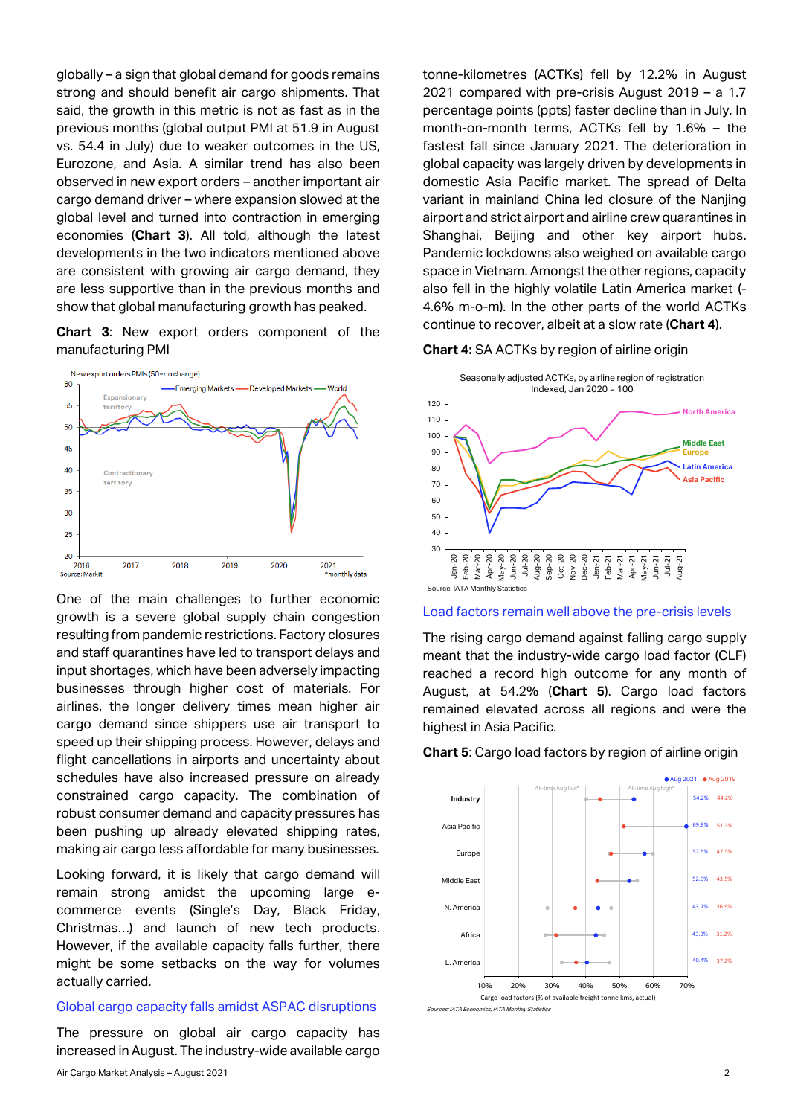globally – a sign that global demand for goods remains strong and should benefit air cargo shipments. That said, the growth in this metric is not as fast as in the previous months (global output PMI at 51.9 in August vs. 54.4 in July) due to weaker outcomes in the US, Eurozone, and Asia. A similar trend has also been observed in new export orders – another important air cargo demand driver – where expansion slowed at the global level and turned into contraction in emerging economies (**Chart 3**). All told, although the latest developments in the two indicators mentioned above are consistent with growing air cargo demand, they are less supportive than in the previous months and show that global manufacturing growth has peaked.

**Chart 3**: New export orders component of the manufacturing PMI



One of the main challenges to further economic growth is a severe global supply chain congestion resulting from pandemic restrictions. Factory closures and staff quarantines have led to transport delays and input shortages, which have been adversely impacting businesses through higher cost of materials. For airlines, the longer delivery times mean higher air cargo demand since shippers use air transport to speed up their shipping process. However, delays and flight cancellations in airports and uncertainty about schedules have also increased pressure on already constrained cargo capacity. The combination of robust consumer demand and capacity pressures has been pushing up already elevated shipping rates, making air cargo less affordable for many businesses.

Looking forward, it is likely that cargo demand will remain strong amidst the upcoming large ecommerce events (Single's Day, Black Friday, Christmas…) and launch of new tech products. However, if the available capacity falls further, there might be some setbacks on the way for volumes actually carried.

#### Global cargo capacity falls amidst ASPAC disruptions

The pressure on global air cargo capacity has increased in August. The industry-wide available cargo tonne-kilometres (ACTKs) fell by 12.2% in August 2021 compared with pre-crisis August 2019 – a 1.7 percentage points (ppts) faster decline than in July. In month-on-month terms, ACTKs fell by 1.6% – the fastest fall since January 2021. The deterioration in global capacity was largely driven by developments in domestic Asia Pacific market. The spread of Delta variant in mainland China led closure of the Nanjing airport and strict airport and airline crew quarantines in Shanghai, Beijing and other key airport hubs. Pandemic lockdowns also weighed on available cargo space in Vietnam. Amongst the other regions, capacity also fell in the highly volatile Latin America market (- 4.6% m-o-m). In the other parts of the world ACTKs continue to recover, albeit at a slow rate (**Chart 4**).

#### **Chart 4:** SA ACTKs by region of airline origin



Load factors remain well above the pre-crisis levels

The rising cargo demand against falling cargo supply meant that the industry-wide cargo load factor (CLF) reached a record high outcome for any month of August, at 54.2% (**Chart 5**). Cargo load factors remained elevated across all regions and were the highest in Asia Pacific.

#### **Chart 5**: Cargo load factors by region of airline origin



Sources: IATA Economics, IATA Monthly Statist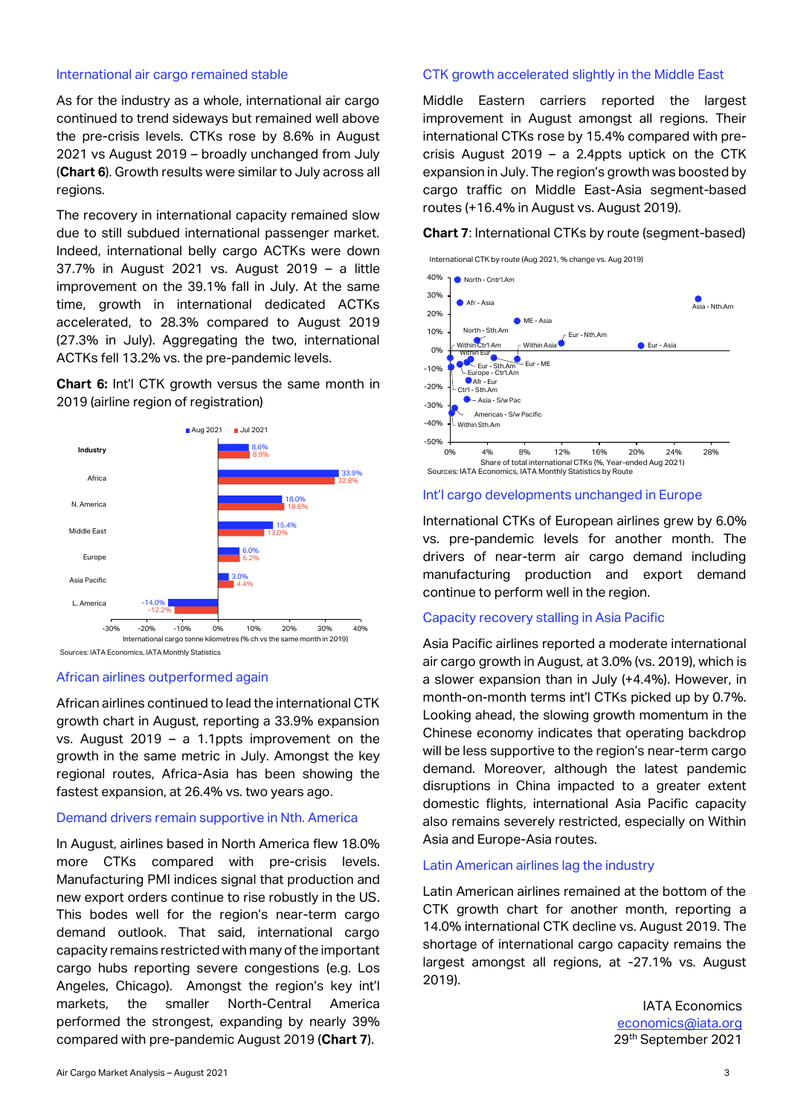#### International air cargo remained stable

As for the industry as a whole, international air cargo continued to trend sideways but remained well above the pre-crisis levels. CTKs rose by 8.6% in August 2021 vs August 2019 – broadly unchanged from July (**Chart 6**). Growth results were similar to July across all regions.

The recovery in international capacity remained slow due to still subdued international passenger market. Indeed, international belly cargo ACTKs were down 37.7% in August 2021 vs. August 2019 – a little improvement on the 39.1% fall in July. At the same time, growth in international dedicated ACTKs accelerated, to 28.3% compared to August 2019 (27.3% in July). Aggregating the two, international ACTKs fell 13.2% vs. the pre-pandemic levels.

**Chart 6:** Int'l CTK growth versus the same month in 2019 (airline region of registration)



#### African airlines outperformed again

African airlines continued to lead the international CTK growth chart in August, reporting a 33.9% expansion vs. August 2019 – a 1.1ppts improvement on the growth in the same metric in July. Amongst the key regional routes, Africa-Asia has been showing the fastest expansion, at 26.4% vs. two years ago.

#### Demand drivers remain supportive in Nth. America

In August, airlines based in North America flew 18.0% more CTKs compared with pre-crisis levels. Manufacturing PMI indices signal that production and new export orders continue to rise robustly in the US. This bodes well for the region's near-term cargo demand outlook. That said, international cargo capacity remains restricted with many of the important cargo hubs reporting severe congestions (e.g. Los Angeles, Chicago). Amongst the region's key int'l markets, the smaller North-Central America performed the strongest, expanding by nearly 39% compared with pre-pandemic August 2019 (**Chart 7**).

#### CTK growth accelerated slightly in the Middle East

Middle Eastern carriers reported the largest improvement in August amongst all regions. Their international CTKs rose by 15.4% compared with precrisis August 2019 – a 2.4ppts uptick on the CTK expansion in July. The region's growth was boosted by cargo traffic on Middle East-Asia segment-based routes (+16.4% in August vs. August 2019).

**Chart 7**: International CTKs by route (segment-based)





#### Int'l cargo developments unchanged in Europe

International CTKs of European airlines grew by 6.0% vs. pre-pandemic levels for another month. The drivers of near-term air cargo demand including manufacturing production and export demand continue to perform well in the region.

#### Capacity recovery stalling in Asia Pacific

Asia Pacific airlines reported a moderate international air cargo growth in August, at 3.0% (vs. 2019), which is a slower expansion than in July (+4.4%). However, in month-on-month terms int'l CTKs picked up by 0.7%. Looking ahead, the slowing growth momentum in the Chinese economy indicates that operating backdrop will be less supportive to the region's near-term cargo demand. Moreover, although the latest pandemic disruptions in China impacted to a greater extent domestic flights, international Asia Pacific capacity also remains severely restricted, especially on Within Asia and Europe-Asia routes.

#### Latin American airlines lag the industry

Latin American airlines remained at the bottom of the CTK growth chart for another month, reporting a 14.0% international CTK decline vs. August 2019. The shortage of international cargo capacity remains the largest amongst all regions, at -27.1% vs. August 2019).

> IATA Economics [economics@iata.org](mailto:economics@iata.org) 29th September 2021